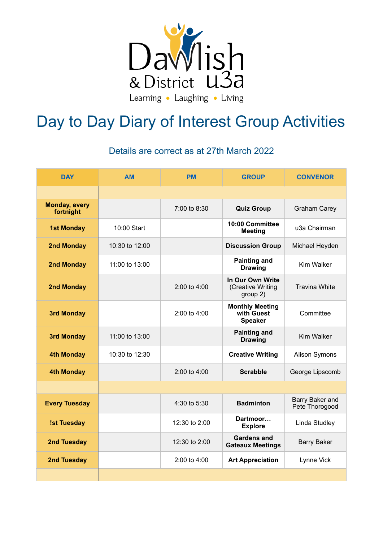

## Day to Day Diary of Interest Group Activities

## Details are correct as at 27th March 2022

| <b>DAY</b>                        | <b>AM</b>          | <b>PM</b>        | <b>GROUP</b>                                           | <b>CONVENOR</b>                   |
|-----------------------------------|--------------------|------------------|--------------------------------------------------------|-----------------------------------|
|                                   |                    |                  |                                                        |                                   |
| <b>Monday, every</b><br>fortnight |                    | 7:00 to 8:30     | <b>Quiz Group</b>                                      | <b>Graham Carey</b>               |
| <b>1st Monday</b>                 | 10:00 Start        |                  | 10:00 Committee<br><b>Meeting</b>                      | u3a Chairman                      |
| <b>2nd Monday</b>                 | 10:30 to 12:00     |                  | <b>Discussion Group</b>                                | Michael Heyden                    |
| <b>2nd Monday</b>                 | $11:00$ to $13:00$ |                  | <b>Painting and</b><br><b>Drawing</b>                  | Kim Walker                        |
| <b>2nd Monday</b>                 |                    | 2:00 to 4:00     | In Our Own Write<br>(Creative Writing<br>group 2)      | <b>Travina White</b>              |
| <b>3rd Monday</b>                 |                    | 2:00 to 4:00     | <b>Monthly Meeting</b><br>with Guest<br><b>Speaker</b> | Committee                         |
| <b>3rd Monday</b>                 | 11:00 to 13:00     |                  | <b>Painting and</b><br><b>Drawing</b>                  | Kim Walker                        |
| <b>4th Monday</b>                 | 10:30 to 12:30     |                  | <b>Creative Writing</b>                                | Alison Symons                     |
| <b>4th Monday</b>                 |                    | 2:00 to 4:00     | <b>Scrabble</b>                                        | George Lipscomb                   |
|                                   |                    |                  |                                                        |                                   |
| <b>Every Tuesday</b>              |                    | 4:30 to 5:30     | <b>Badminton</b>                                       | Barry Baker and<br>Pete Thorogood |
| <b>Ist Tuesday</b>                |                    | 12:30 to 2:00    | Dartmoor<br><b>Explore</b>                             | Linda Studley                     |
| 2nd Tuesday                       |                    | 12:30 to 2:00    | <b>Gardens and</b><br><b>Gateaux Meetings</b>          | <b>Barry Baker</b>                |
| 2nd Tuesday                       |                    | $2:00$ to $4:00$ | <b>Art Appreciation</b>                                | Lynne Vick                        |
|                                   |                    |                  |                                                        |                                   |